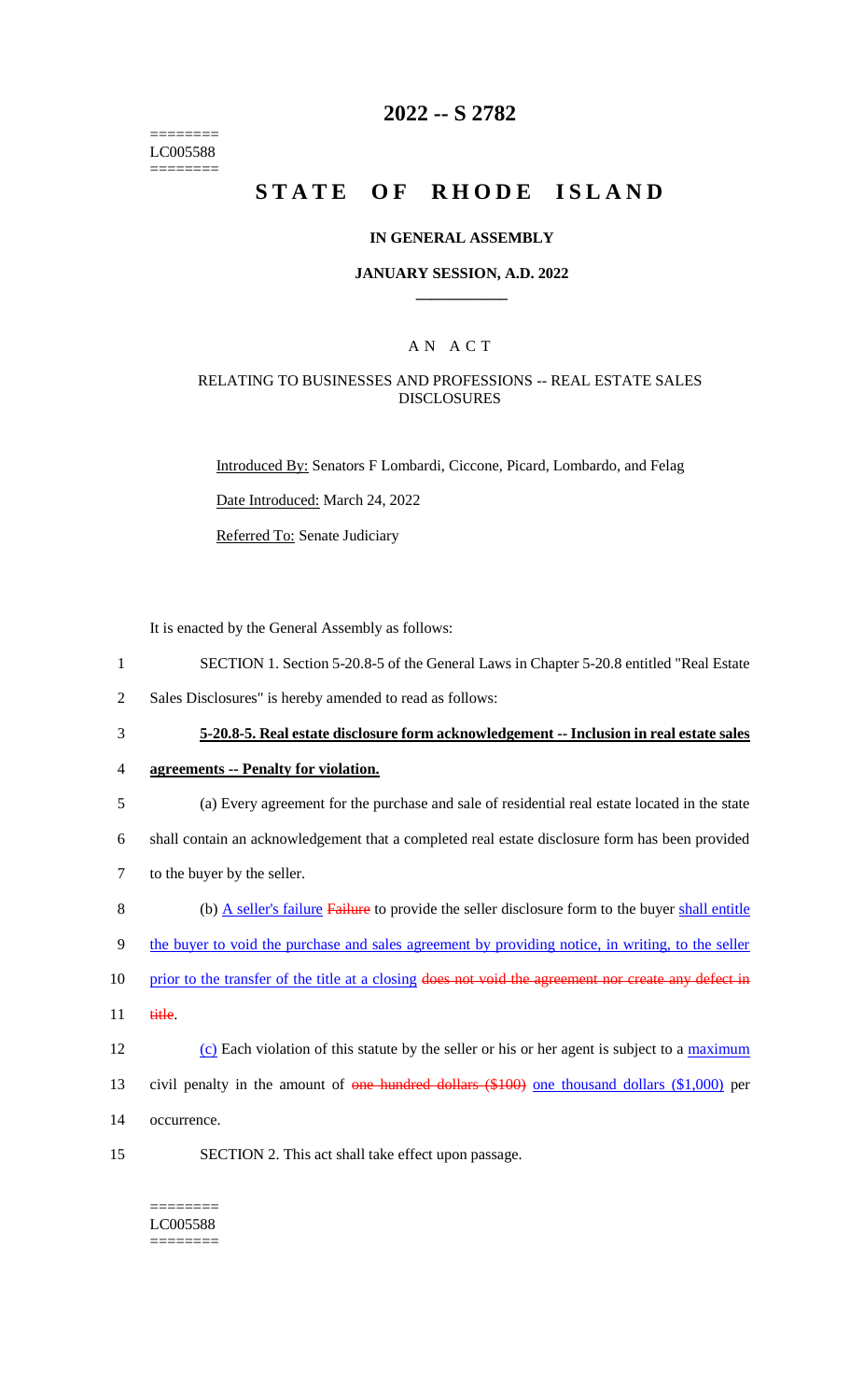======== LC005588 ========

## **2022 -- S 2782**

# **STATE OF RHODE ISLAND**

#### **IN GENERAL ASSEMBLY**

#### **JANUARY SESSION, A.D. 2022 \_\_\_\_\_\_\_\_\_\_\_\_**

### A N A C T

### RELATING TO BUSINESSES AND PROFESSIONS -- REAL ESTATE SALES DISCLOSURES

Introduced By: Senators F Lombardi, Ciccone, Picard, Lombardo, and Felag

Date Introduced: March 24, 2022

Referred To: Senate Judiciary

It is enacted by the General Assembly as follows:

- 1 SECTION 1. Section 5-20.8-5 of the General Laws in Chapter 5-20.8 entitled "Real Estate
- 2 Sales Disclosures" is hereby amended to read as follows:
- 

3 **5-20.8-5. Real estate disclosure form acknowledgement -- Inclusion in real estate sales** 

- 4 **agreements -- Penalty for violation.**
- 5 (a) Every agreement for the purchase and sale of residential real estate located in the state

6 shall contain an acknowledgement that a completed real estate disclosure form has been provided

- 7 to the buyer by the seller.
- 8 (b) A seller's failure Failure to provide the seller disclosure form to the buyer shall entitle

9 the buyer to void the purchase and sales agreement by providing notice, in writing, to the seller

- 10 prior to the transfer of the title at a closing does not void the agreement nor create any defect in
- 11 title.
- 12 (c) Each violation of this statute by the seller or his or her agent is subject to a maximum
- 13 civil penalty in the amount of one hundred dollars (\$100) one thousand dollars (\$1,000) per
- 14 occurrence.
- 15 SECTION 2. This act shall take effect upon passage.
	- ======== LC005588 ========